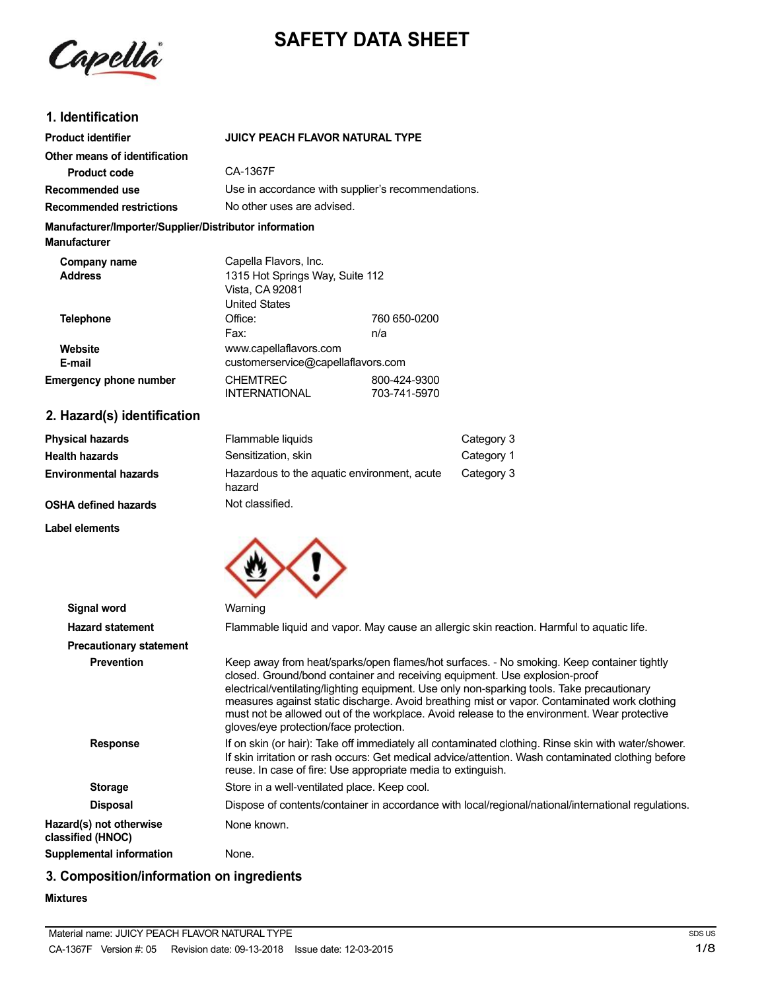

## **SAFETY DATA SHEET**

## **1. Identification**

| <b>Product identifier</b>                                                     | <b>JUICY PEACH FLAVOR NATURAL TYPE</b>             |              |
|-------------------------------------------------------------------------------|----------------------------------------------------|--------------|
| Other means of identification                                                 | CA-1367F                                           |              |
| Product code                                                                  |                                                    |              |
| Recommended use                                                               | Use in accordance with supplier's recommendations. |              |
| <b>Recommended restrictions</b>                                               | No other uses are advised.                         |              |
| Manufacturer/Importer/Supplier/Distributor information<br><b>Manufacturer</b> |                                                    |              |
| Company name                                                                  | Capella Flavors, Inc.                              |              |
| <b>Address</b>                                                                | 1315 Hot Springs Way, Suite 112                    |              |
|                                                                               | Vista, CA 92081                                    |              |
|                                                                               | United States                                      |              |
| <b>Telephone</b>                                                              | Office:                                            | 760 650-0200 |
|                                                                               | Fax:                                               | n/a          |
| Website                                                                       | www.capellaflavors.com                             |              |
| E-mail                                                                        | customerservice@capellaflavors.com                 |              |
| <b>Emergency phone number</b>                                                 | <b>CHEMTREC</b>                                    | 800-424-9300 |
|                                                                               | <b>INTERNATIONAL</b>                               | 703-741-5970 |

## **2. Hazard(s) identification**

| <b>Physical hazards</b>      | Flammable liquids                                     | Category 3 |
|------------------------------|-------------------------------------------------------|------------|
| <b>Health hazards</b>        | Sensitization, skin                                   | Category 1 |
| <b>Environmental hazards</b> | Hazardous to the aquatic environment, acute<br>hazard | Category 3 |
| <b>OSHA defined hazards</b>  | Not classified.                                       |            |

#### **Label elements**



| Signal word                                  | Warning                                                                                                                                                                                                                                                                                                                                                                                                                                                                                                        |
|----------------------------------------------|----------------------------------------------------------------------------------------------------------------------------------------------------------------------------------------------------------------------------------------------------------------------------------------------------------------------------------------------------------------------------------------------------------------------------------------------------------------------------------------------------------------|
| <b>Hazard statement</b>                      | Flammable liquid and vapor. May cause an allergic skin reaction. Harmful to aquatic life.                                                                                                                                                                                                                                                                                                                                                                                                                      |
| <b>Precautionary statement</b>               |                                                                                                                                                                                                                                                                                                                                                                                                                                                                                                                |
| <b>Prevention</b>                            | Keep away from heat/sparks/open flames/hot surfaces. - No smoking. Keep container tightly<br>closed. Ground/bond container and receiving equipment. Use explosion-proof<br>electrical/ventilating/lighting equipment. Use only non-sparking tools. Take precautionary<br>measures against static discharge. Avoid breathing mist or vapor. Contaminated work clothing<br>must not be allowed out of the workplace. Avoid release to the environment. Wear protective<br>gloves/eye protection/face protection. |
| <b>Response</b>                              | If on skin (or hair): Take off immediately all contaminated clothing. Rinse skin with water/shower.<br>If skin irritation or rash occurs: Get medical advice/attention. Wash contaminated clothing before<br>reuse. In case of fire: Use appropriate media to extinguish.                                                                                                                                                                                                                                      |
| <b>Storage</b>                               | Store in a well-ventilated place. Keep cool.                                                                                                                                                                                                                                                                                                                                                                                                                                                                   |
| <b>Disposal</b>                              | Dispose of contents/container in accordance with local/regional/national/international regulations.                                                                                                                                                                                                                                                                                                                                                                                                            |
| Hazard(s) not otherwise<br>classified (HNOC) | None known.                                                                                                                                                                                                                                                                                                                                                                                                                                                                                                    |
| Supplemental information                     | None.                                                                                                                                                                                                                                                                                                                                                                                                                                                                                                          |

## **3. Composition/information on ingredients**

#### **Mixtures**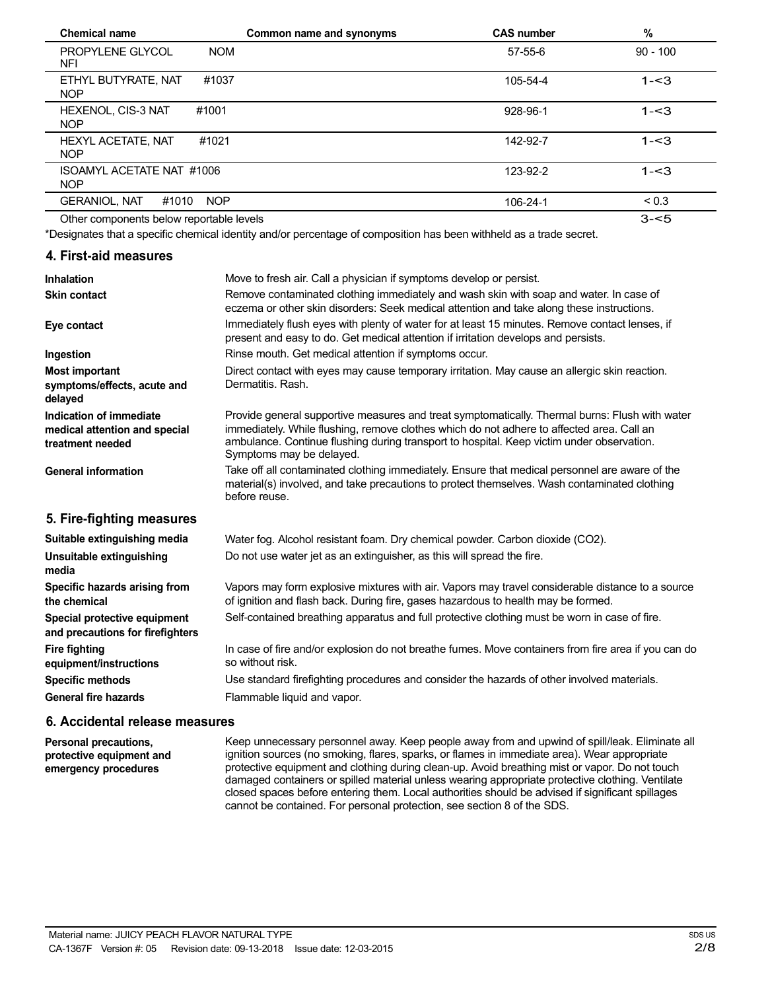| <b>Chemical name</b>                      | Common name and synonyms | <b>CAS number</b> | $\%$       |
|-------------------------------------------|--------------------------|-------------------|------------|
| PROPYLENE GLYCOL<br>NFI                   | <b>NOM</b>               | $57 - 55 - 6$     | $90 - 100$ |
| ETHYL BUTYRATE, NAT<br><b>NOP</b>         | #1037                    | 105-54-4          | $1 - 3$    |
| HEXENOL, CIS-3 NAT<br>#1001<br><b>NOP</b> |                          | 928-96-1          | $1 - 3$    |
| HEXYL ACETATE, NAT<br>#1021<br><b>NOP</b> |                          | 142-92-7          | $1 - 3$    |
| ISOAMYL ACETATE NAT #1006<br><b>NOP</b>   |                          | 123-92-2          | $1 - 3$    |
| <b>GERANIOL, NAT</b><br>#1010             | <b>NOP</b>               | 106-24-1          | ${}_{0.3}$ |
| Other components helow reportable levels  |                          |                   | $3 - 5$    |

Other components below reportable levels

\*Designates that a specific chemical identity and/or percentage of composition has been withheld as a trade secret.

#### **4. First-aid measures**

| <b>Inhalation</b>                                                            | Move to fresh air. Call a physician if symptoms develop or persist.                                                                                                                                                                                                                                                  |
|------------------------------------------------------------------------------|----------------------------------------------------------------------------------------------------------------------------------------------------------------------------------------------------------------------------------------------------------------------------------------------------------------------|
| <b>Skin contact</b>                                                          | Remove contaminated clothing immediately and wash skin with soap and water. In case of<br>eczema or other skin disorders: Seek medical attention and take along these instructions.                                                                                                                                  |
| Eye contact                                                                  | Immediately flush eyes with plenty of water for at least 15 minutes. Remove contact lenses, if<br>present and easy to do. Get medical attention if irritation develops and persists.                                                                                                                                 |
| Ingestion                                                                    | Rinse mouth. Get medical attention if symptoms occur.                                                                                                                                                                                                                                                                |
| <b>Most important</b><br>symptoms/effects, acute and<br>delayed              | Direct contact with eyes may cause temporary irritation. May cause an allergic skin reaction.<br>Dermatitis, Rash.                                                                                                                                                                                                   |
| Indication of immediate<br>medical attention and special<br>treatment needed | Provide general supportive measures and treat symptomatically. Thermal burns: Flush with water<br>immediately. While flushing, remove clothes which do not adhere to affected area. Call an<br>ambulance. Continue flushing during transport to hospital. Keep victim under observation.<br>Symptoms may be delayed. |
| <b>General information</b>                                                   | Take off all contaminated clothing immediately. Ensure that medical personnel are aware of the<br>material(s) involved, and take precautions to protect themselves. Wash contaminated clothing<br>before reuse.                                                                                                      |
| 5. Fire-fighting measures                                                    |                                                                                                                                                                                                                                                                                                                      |
| Suitable extinguishing media                                                 | Water fog. Alcohol resistant foam. Dry chemical powder. Carbon dioxide (CO2).                                                                                                                                                                                                                                        |
| Unsuitable extinguishing<br>media                                            | Do not use water jet as an extinguisher, as this will spread the fire.                                                                                                                                                                                                                                               |
| Specific hazards arising from<br>the chemical                                | Vapors may form explosive mixtures with air. Vapors may travel considerable distance to a source<br>of ignition and flash back. During fire, gases hazardous to health may be formed.                                                                                                                                |
| Special protective equipment<br>and precautions for firefighters             | Self-contained breathing apparatus and full protective clothing must be worn in case of fire.                                                                                                                                                                                                                        |
| <b>Fire fighting</b><br>equipment/instructions                               | In case of fire and/or explosion do not breathe fumes. Move containers from fire area if you can do<br>so without risk.                                                                                                                                                                                              |
| <b>Specific methods</b>                                                      | Use standard firefighting procedures and consider the hazards of other involved materials.                                                                                                                                                                                                                           |
| <b>General fire hazards</b>                                                  | Flammable liquid and vapor.                                                                                                                                                                                                                                                                                          |
|                                                                              |                                                                                                                                                                                                                                                                                                                      |

#### **6. Accidental release measures**

**Personal precautions, protective equipment and emergency procedures**

Keep unnecessary personnel away. Keep people away from and upwind of spill/leak. Eliminate all ignition sources (no smoking, flares, sparks, or flames in immediate area). Wear appropriate protective equipment and clothing during clean-up. Avoid breathing mist or vapor. Do not touch damaged containers or spilled material unless wearing appropriate protective clothing. Ventilate closed spaces before entering them. Local authorities should be advised if significant spillages cannot be contained. For personal protection, see section 8 of the SDS.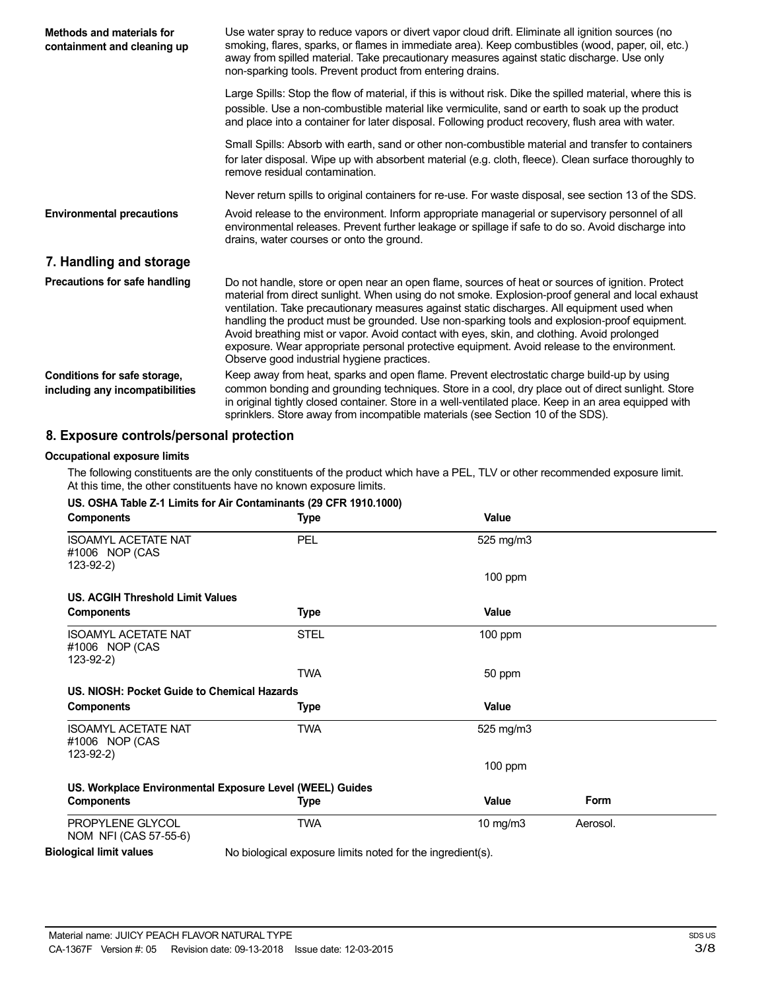| <b>Methods and materials for</b><br>containment and cleaning up | Use water spray to reduce vapors or divert vapor cloud drift. Eliminate all ignition sources (no<br>smoking, flares, sparks, or flames in immediate area). Keep combustibles (wood, paper, oil, etc.)<br>away from spilled material. Take precautionary measures against static discharge. Use only<br>non-sparking tools. Prevent product from entering drains.                                                                                                                                                                                                                                                                                 |
|-----------------------------------------------------------------|--------------------------------------------------------------------------------------------------------------------------------------------------------------------------------------------------------------------------------------------------------------------------------------------------------------------------------------------------------------------------------------------------------------------------------------------------------------------------------------------------------------------------------------------------------------------------------------------------------------------------------------------------|
|                                                                 | Large Spills: Stop the flow of material, if this is without risk. Dike the spilled material, where this is<br>possible. Use a non-combustible material like vermiculite, sand or earth to soak up the product<br>and place into a container for later disposal. Following product recovery, flush area with water.                                                                                                                                                                                                                                                                                                                               |
|                                                                 | Small Spills: Absorb with earth, sand or other non-combustible material and transfer to containers<br>for later disposal. Wipe up with absorbent material (e.g. cloth, fleece). Clean surface thoroughly to<br>remove residual contamination.                                                                                                                                                                                                                                                                                                                                                                                                    |
|                                                                 | Never return spills to original containers for re-use. For waste disposal, see section 13 of the SDS.                                                                                                                                                                                                                                                                                                                                                                                                                                                                                                                                            |
| <b>Environmental precautions</b>                                | Avoid release to the environment. Inform appropriate managerial or supervisory personnel of all<br>environmental releases. Prevent further leakage or spillage if safe to do so. Avoid discharge into<br>drains, water courses or onto the ground.                                                                                                                                                                                                                                                                                                                                                                                               |
| 7. Handling and storage                                         |                                                                                                                                                                                                                                                                                                                                                                                                                                                                                                                                                                                                                                                  |
| Precautions for safe handling                                   | Do not handle, store or open near an open flame, sources of heat or sources of ignition. Protect<br>material from direct sunlight. When using do not smoke. Explosion-proof general and local exhaust<br>ventilation. Take precautionary measures against static discharges. All equipment used when<br>handling the product must be grounded. Use non-sparking tools and explosion-proof equipment.<br>Avoid breathing mist or vapor. Avoid contact with eyes, skin, and clothing. Avoid prolonged<br>exposure. Wear appropriate personal protective equipment. Avoid release to the environment.<br>Observe good industrial hygiene practices. |
| Conditions for safe storage,<br>including any incompatibilities | Keep away from heat, sparks and open flame. Prevent electrostatic charge build-up by using<br>common bonding and grounding techniques. Store in a cool, dry place out of direct sunlight. Store<br>in original tightly closed container. Store in a well-ventilated place. Keep in an area equipped with<br>sprinklers. Store away from incompatible materials (see Section 10 of the SDS).                                                                                                                                                                                                                                                      |

### **8. Exposure controls/personal protection**

#### **Occupational exposure limits**

The following constituents are the only constituents of the product which have a PEL, TLV or other recommended exposure limit. At this time, the other constituents have no known exposure limits.

#### **US. OSHA Table Z-1 Limits for Air Contaminants (29 CFR 1910.1000)**

| <b>Components</b>                                           | <b>Type</b>                                                | Value        |          |  |
|-------------------------------------------------------------|------------------------------------------------------------|--------------|----------|--|
| <b>ISOAMYL ACETATE NAT</b><br>#1006 NOP (CAS                | <b>PEL</b>                                                 | 525 mg/m3    |          |  |
| $123 - 92 - 2)$                                             |                                                            | 100 ppm      |          |  |
| <b>US. ACGIH Threshold Limit Values</b>                     |                                                            |              |          |  |
| <b>Components</b>                                           | Type                                                       | Value        |          |  |
| <b>ISOAMYL ACETATE NAT</b><br>#1006 NOP (CAS<br>$123-92-2)$ | <b>STEL</b>                                                | $100$ ppm    |          |  |
|                                                             | <b>TWA</b>                                                 | 50 ppm       |          |  |
| US. NIOSH: Pocket Guide to Chemical Hazards                 |                                                            |              |          |  |
| <b>Components</b>                                           | Type                                                       | <b>Value</b> |          |  |
| <b>ISOAMYL ACETATE NAT</b><br>#1006 NOP (CAS<br>$123-92-2)$ | <b>TWA</b>                                                 | 525 mg/m3    |          |  |
|                                                             |                                                            | $100$ ppm    |          |  |
| US. Workplace Environmental Exposure Level (WEEL) Guides    |                                                            |              |          |  |
| <b>Components</b>                                           | Type                                                       | Value        | Form     |  |
| PROPYLENE GLYCOL<br>NOM NFI (CAS 57-55-6)                   | <b>TWA</b>                                                 | 10 mg/m $3$  | Aerosol. |  |
| <b>Biological limit values</b>                              | No biological exposure limits noted for the ingredient(s). |              |          |  |

No biological exposure limits noted for the ingredient(s).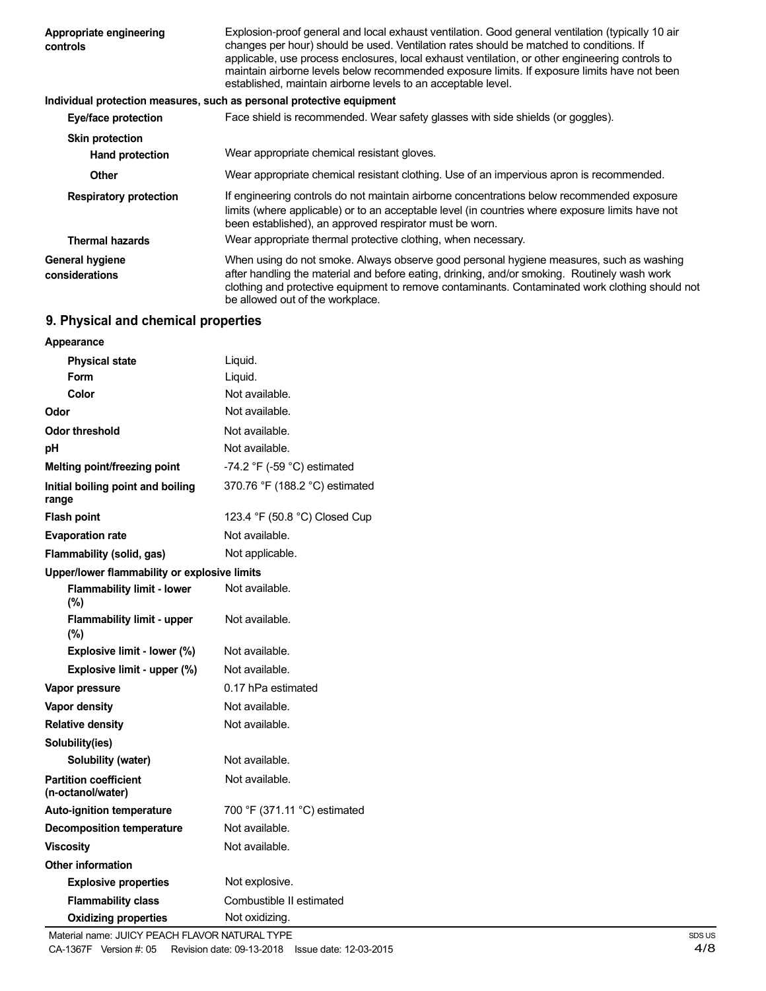| Appropriate engineering<br>controls | Explosion-proof general and local exhaust ventilation. Good general ventilation (typically 10 air<br>changes per hour) should be used. Ventilation rates should be matched to conditions. If<br>applicable, use process enclosures, local exhaust ventilation, or other engineering controls to<br>maintain airborne levels below recommended exposure limits. If exposure limits have not been<br>established, maintain airborne levels to an acceptable level. |
|-------------------------------------|------------------------------------------------------------------------------------------------------------------------------------------------------------------------------------------------------------------------------------------------------------------------------------------------------------------------------------------------------------------------------------------------------------------------------------------------------------------|
|                                     | Individual protection measures, such as personal protective equipment                                                                                                                                                                                                                                                                                                                                                                                            |
| Eye/face protection                 | Face shield is recommended. Wear safety glasses with side shields (or goggles).                                                                                                                                                                                                                                                                                                                                                                                  |
| <b>Skin protection</b>              |                                                                                                                                                                                                                                                                                                                                                                                                                                                                  |
| <b>Hand protection</b>              | Wear appropriate chemical resistant gloves.                                                                                                                                                                                                                                                                                                                                                                                                                      |
| Other                               | Wear appropriate chemical resistant clothing. Use of an impervious apron is recommended.                                                                                                                                                                                                                                                                                                                                                                         |
| <b>Respiratory protection</b>       | If engineering controls do not maintain airborne concentrations below recommended exposure<br>limits (where applicable) or to an acceptable level (in countries where exposure limits have not<br>been established), an approved respirator must be worn.                                                                                                                                                                                                        |
| <b>Thermal hazards</b>              | Wear appropriate thermal protective clothing, when necessary.                                                                                                                                                                                                                                                                                                                                                                                                    |
| General hygiene<br>considerations   | When using do not smoke. Always observe good personal hygiene measures, such as washing<br>after handling the material and before eating, drinking, and/or smoking. Routinely wash work<br>clothing and protective equipment to remove contaminants. Contaminated work clothing should not<br>be allowed out of the workplace.                                                                                                                                   |

## **9. Physical and chemical properties**

| Appearance                                        |                                               |
|---------------------------------------------------|-----------------------------------------------|
| <b>Physical state</b>                             | Liquid.                                       |
| Form                                              | Liquid.                                       |
| Color                                             | Not available.                                |
| Odor                                              | Not available.                                |
| Odor threshold                                    | Not available.                                |
| рH                                                | Not available.                                |
| Melting point/freezing point                      | -74.2 $\degree$ F (-59 $\degree$ C) estimated |
| Initial boiling point and boiling<br>range        | 370.76 °F (188.2 °C) estimated                |
| <b>Flash point</b>                                | 123.4 °F (50.8 °C) Closed Cup                 |
| <b>Evaporation rate</b>                           | Not available.                                |
| Flammability (solid, gas)                         | Not applicable.                               |
| Upper/lower flammability or explosive limits      |                                               |
| <b>Flammability limit - lower</b><br>(%)          | Not available.                                |
| <b>Flammability limit - upper</b><br>(%)          | Not available.                                |
| Explosive limit - lower (%)                       | Not available.                                |
| Explosive limit - upper (%)                       | Not available.                                |
| Vapor pressure                                    | 0.17 hPa estimated                            |
| <b>Vapor density</b>                              | Not available.                                |
| <b>Relative density</b>                           | Not available.                                |
| Solubility(ies)                                   |                                               |
| Solubility (water)                                | Not available.                                |
| <b>Partition coefficient</b><br>(n-octanol/water) | Not available.                                |
| <b>Auto-ignition temperature</b>                  | 700 °F (371.11 °C) estimated                  |
| <b>Decomposition temperature</b>                  | Not available.                                |
| <b>Viscosity</b>                                  | Not available.                                |
| <b>Other information</b>                          |                                               |
| <b>Explosive properties</b>                       | Not explosive.                                |
| <b>Flammability class</b>                         | Combustible II estimated                      |
| <b>Oxidizing properties</b>                       | Not oxidizina.                                |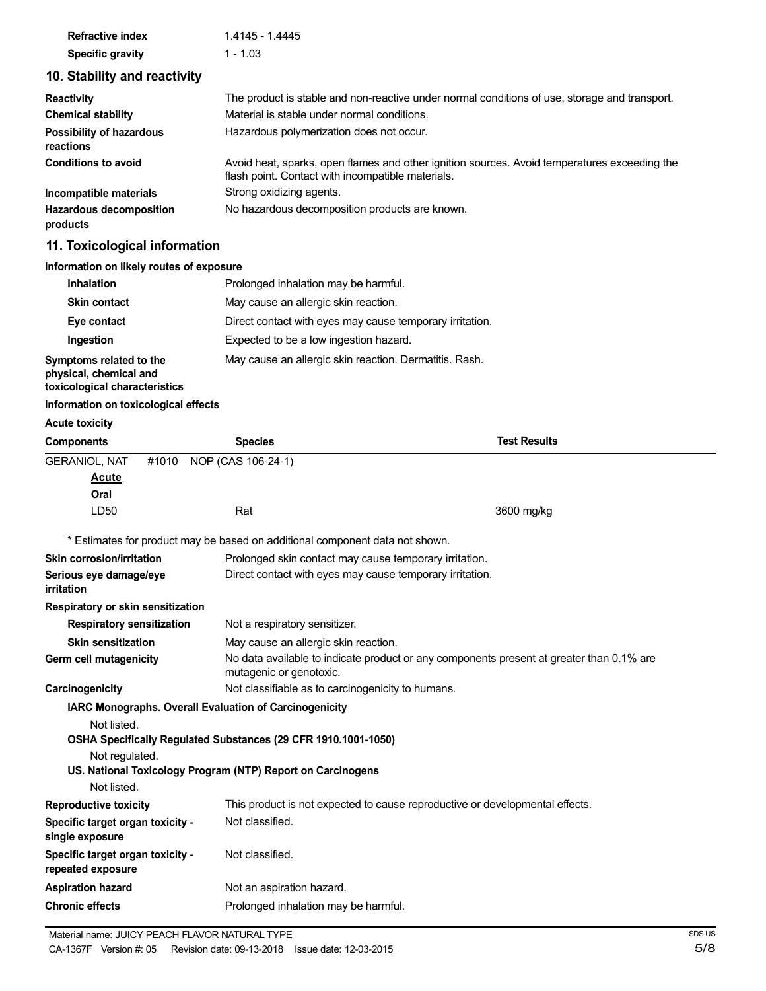| <b>Refractive index</b> | 1.4145 - 1.4445 |
|-------------------------|-----------------|
| <b>Specific gravity</b> | $1 - 1.03$      |

## **10. Stability and reactivity**

| <b>Reactivity</b>                          | The product is stable and non-reactive under normal conditions of use, storage and transport.                                                     |
|--------------------------------------------|---------------------------------------------------------------------------------------------------------------------------------------------------|
| <b>Chemical stability</b>                  | Material is stable under normal conditions.                                                                                                       |
| Possibility of hazardous<br>reactions      | Hazardous polymerization does not occur.                                                                                                          |
| <b>Conditions to avoid</b>                 | Avoid heat, sparks, open flames and other ignition sources. Avoid temperatures exceeding the<br>flash point. Contact with incompatible materials. |
| Incompatible materials                     | Strong oxidizing agents.                                                                                                                          |
| <b>Hazardous decomposition</b><br>products | No hazardous decomposition products are known.                                                                                                    |

## **11. Toxicological information**

#### **Information on likely routes of exposure**

| <b>Inhalation</b>                                                                  | Prolonged inhalation may be harmful.                     |
|------------------------------------------------------------------------------------|----------------------------------------------------------|
| <b>Skin contact</b>                                                                | May cause an allergic skin reaction.                     |
| Eye contact                                                                        | Direct contact with eyes may cause temporary irritation. |
| Ingestion                                                                          | Expected to be a low ingestion hazard.                   |
| Symptoms related to the<br>physical, chemical and<br>toxicological characteristics | May cause an allergic skin reaction. Dermatitis. Rash.   |

## **Information on toxicological effects**

#### **Acute toxicity**

| <b>Components</b>                                     | <b>Species</b>                                                                                                                | <b>Test Results</b>                                                                      |
|-------------------------------------------------------|-------------------------------------------------------------------------------------------------------------------------------|------------------------------------------------------------------------------------------|
| <b>GERANIOL, NAT</b><br>Acute<br>Oral                 | NOP (CAS 106-24-1)<br>#1010                                                                                                   |                                                                                          |
| LD50                                                  | Rat                                                                                                                           | 3600 mg/kg                                                                               |
|                                                       | * Estimates for product may be based on additional component data not shown.                                                  |                                                                                          |
| Skin corrosion/irritation                             | Prolonged skin contact may cause temporary irritation.                                                                        |                                                                                          |
| Serious eye damage/eye<br><i>irritation</i>           | Direct contact with eyes may cause temporary irritation.                                                                      |                                                                                          |
| Respiratory or skin sensitization                     |                                                                                                                               |                                                                                          |
| <b>Respiratory sensitization</b>                      | Not a respiratory sensitizer.                                                                                                 |                                                                                          |
| <b>Skin sensitization</b>                             | May cause an allergic skin reaction.                                                                                          |                                                                                          |
| Germ cell mutagenicity                                | mutagenic or genotoxic.                                                                                                       | No data available to indicate product or any components present at greater than 0.1% are |
| Carcinogenicity                                       | Not classifiable as to carcinogenicity to humans.                                                                             |                                                                                          |
|                                                       | IARC Monographs. Overall Evaluation of Carcinogenicity                                                                        |                                                                                          |
| Not listed.<br>Not regulated.<br>Not listed.          | OSHA Specifically Regulated Substances (29 CFR 1910.1001-1050)<br>US. National Toxicology Program (NTP) Report on Carcinogens |                                                                                          |
| <b>Reproductive toxicity</b>                          |                                                                                                                               | This product is not expected to cause reproductive or developmental effects.             |
| Specific target organ toxicity -<br>single exposure   | Not classified.                                                                                                               |                                                                                          |
| Specific target organ toxicity -<br>repeated exposure | Not classified.                                                                                                               |                                                                                          |
| <b>Aspiration hazard</b>                              | Not an aspiration hazard.                                                                                                     |                                                                                          |
| <b>Chronic effects</b>                                | Prolonged inhalation may be harmful.                                                                                          |                                                                                          |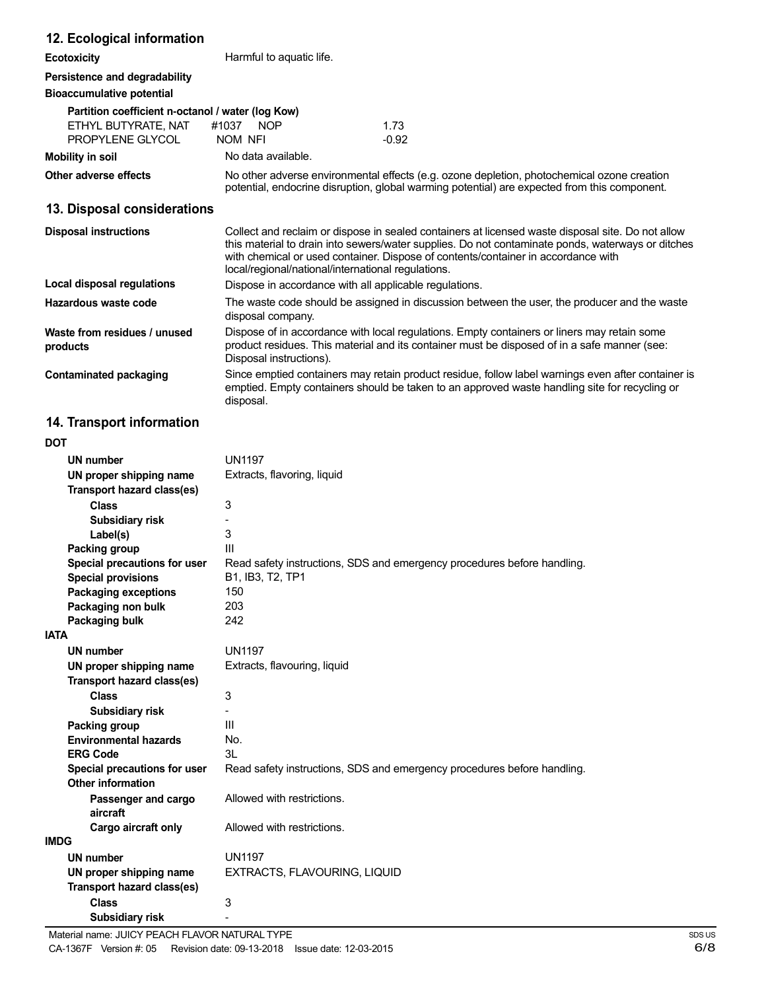## **12. Ecological information**

**Ecotoxicity Harmful to aquatic life.** 

## **Persistence and degradability**

#### **Bioaccumulative potential**

| Partition coefficient n-octanol / water (log Kow) |                     |         |
|---------------------------------------------------|---------------------|---------|
| ETHYL BUTYRATE. NAT                               | #1037<br><b>NOP</b> | 1 73    |
| PROPYLENE GLYCOL                                  | NOM NFI             | $-0.92$ |
| Mobility in soil                                  | No data available.  |         |

**Other adverse effects** No other adverse environmental effects (e.g. ozone depletion, photochemical ozone creation potential, endocrine disruption, global warming potential) are expected from this component.

## **13. Disposal considerations**

| <b>Disposal instructions</b>             | Collect and reclaim or dispose in sealed containers at licensed waste disposal site. Do not allow<br>this material to drain into sewers/water supplies. Do not contaminate ponds, waterways or ditches<br>with chemical or used container. Dispose of contents/container in accordance with<br>local/regional/national/international regulations. |
|------------------------------------------|---------------------------------------------------------------------------------------------------------------------------------------------------------------------------------------------------------------------------------------------------------------------------------------------------------------------------------------------------|
| Local disposal regulations               | Dispose in accordance with all applicable regulations.                                                                                                                                                                                                                                                                                            |
| Hazardous waste code                     | The waste code should be assigned in discussion between the user, the producer and the waste<br>disposal company.                                                                                                                                                                                                                                 |
| Waste from residues / unused<br>products | Dispose of in accordance with local regulations. Empty containers or liners may retain some<br>product residues. This material and its container must be disposed of in a safe manner (see:<br>Disposal instructions).                                                                                                                            |
| Contaminated packaging                   | Since emptied containers may retain product residue, follow label warnings even after container is<br>emptied. Empty containers should be taken to an approved waste handling site for recycling or<br>disposal.                                                                                                                                  |

## **14. Transport information**

| <b>DOT</b>                                               |                                                                         |
|----------------------------------------------------------|-------------------------------------------------------------------------|
| <b>UN number</b>                                         | <b>UN1197</b>                                                           |
| UN proper shipping name                                  | Extracts, flavoring, liquid                                             |
| Transport hazard class(es)                               |                                                                         |
| <b>Class</b>                                             | 3                                                                       |
| <b>Subsidiary risk</b>                                   |                                                                         |
| Label(s)                                                 | 3                                                                       |
| Packing group                                            | III                                                                     |
| Special precautions for user                             | Read safety instructions, SDS and emergency procedures before handling. |
| <b>Special provisions</b>                                | B1, IB3, T2, TP1                                                        |
| <b>Packaging exceptions</b>                              | 150                                                                     |
| Packaging non bulk                                       | 203                                                                     |
| Packaging bulk                                           | 242                                                                     |
| <b>IATA</b>                                              |                                                                         |
| <b>UN number</b>                                         | <b>UN1197</b>                                                           |
| UN proper shipping name                                  | Extracts, flavouring, liquid                                            |
| Transport hazard class(es)                               |                                                                         |
| <b>Class</b>                                             | 3                                                                       |
| <b>Subsidiary risk</b>                                   |                                                                         |
| Packing group                                            | Ш                                                                       |
| <b>Environmental hazards</b>                             | No.                                                                     |
| <b>ERG Code</b>                                          | 3L                                                                      |
| Special precautions for user<br><b>Other information</b> | Read safety instructions, SDS and emergency procedures before handling. |
| Passenger and cargo<br>aircraft                          | Allowed with restrictions.                                              |
| Cargo aircraft only                                      | Allowed with restrictions.                                              |
| <b>IMDG</b>                                              |                                                                         |
| <b>UN number</b>                                         | <b>UN1197</b>                                                           |
| UN proper shipping name                                  | EXTRACTS, FLAVOURING, LIQUID                                            |
| Transport hazard class(es)                               |                                                                         |
| <b>Class</b>                                             | 3                                                                       |
| <b>Subsidiary risk</b>                                   | $\overline{\phantom{a}}$                                                |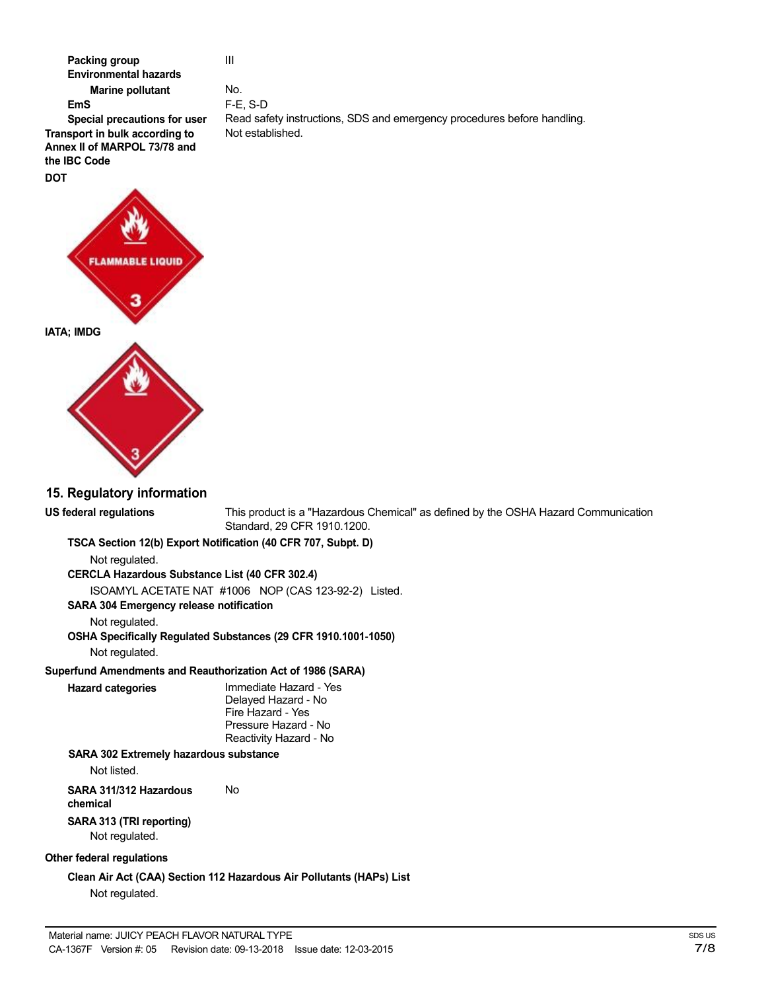

III

No. F-E, S-D Read safety instructions, SDS and emergency procedures before handling. Not established.

# Not regulated. Not regulated. Not regulated. **Hazard categories** Immediate Hazard - Yes Not listed. **chemical SARA 313 (TRI reporting)** Not regulated. **Other federal regulations**

**US federal regulations** This product is a "Hazardous Chemical" as defined by the OSHA Hazard Communication Standard, 29 CFR 1910.1200.

**TSCA Section 12(b) Export Notification (40 CFR 707, Subpt. D)**

**CERCLA Hazardous Substance List (40 CFR 302.4)**

ISOAMYL ACETATE NAT #1006 NOP (CAS 123-92-2) Listed.

**SARA 304 Emergency release notification**

**OSHA Specifically Regulated Substances (29 CFR 1910.1001-1050)**

**Superfund Amendments and Reauthorization Act of 1986 (SARA)**

Delayed Hazard - No Fire Hazard - Yes Pressure Hazard - No Reactivity Hazard - No

#### **SARA 302 Extremely hazardous substance**

**SARA 311/312 Hazardous** No

**Clean Air Act (CAA) Section 112 Hazardous Air Pollutants (HAPs) List** Not regulated.